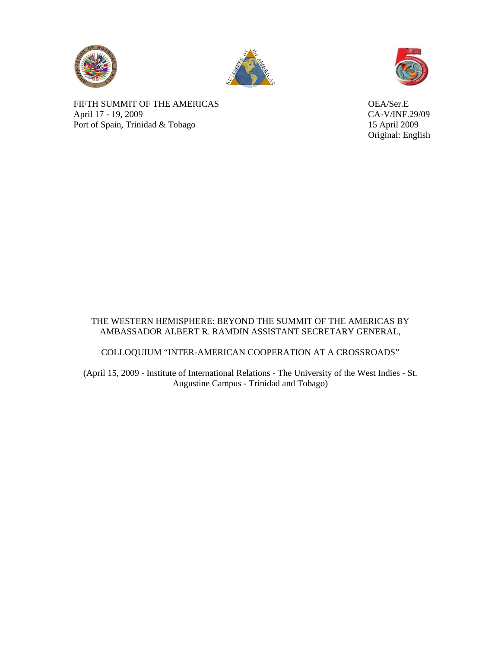





Original: English

FIFTH SUMMIT OF THE AMERICAS<br>
April 17 - 19, 2009<br>
CA-V/INF.29/09 April 17 - 19, 2009 Port of Spain, Trinidad & Tobago 15 April 2009

## THE WESTERN HEMISPHERE: BEYOND THE SUMMIT OF THE AMERICAS BY AMBASSADOR ALBERT R. RAMDIN ASSISTANT SECRETARY GENERAL,

# COLLOQUIUM "INTER-AMERICAN COOPERATION AT A CROSSROADS"

(April 15, 2009 - Institute of International Relations - The University of the West Indies - St. Augustine Campus - Trinidad and Tobago)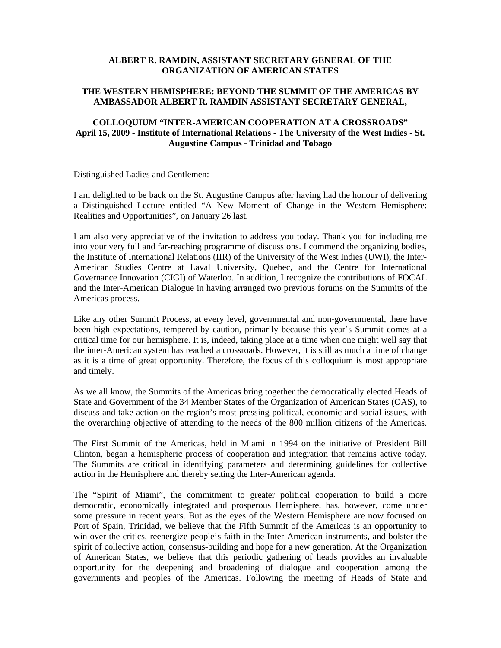#### **ALBERT R. RAMDIN, ASSISTANT SECRETARY GENERAL OF THE ORGANIZATION OF AMERICAN STATES**

### **THE WESTERN HEMISPHERE: BEYOND THE SUMMIT OF THE AMERICAS BY AMBASSADOR ALBERT R. RAMDIN ASSISTANT SECRETARY GENERAL,**

### **COLLOQUIUM "INTER-AMERICAN COOPERATION AT A CROSSROADS" April 15, 2009 - Institute of International Relations - The University of the West Indies - St. Augustine Campus - Trinidad and Tobago**

Distinguished Ladies and Gentlemen:

I am delighted to be back on the St. Augustine Campus after having had the honour of delivering a Distinguished Lecture entitled "A New Moment of Change in the Western Hemisphere: Realities and Opportunities", on January 26 last.

I am also very appreciative of the invitation to address you today. Thank you for including me into your very full and far-reaching programme of discussions. I commend the organizing bodies, the Institute of International Relations (IIR) of the University of the West Indies (UWI), the Inter-American Studies Centre at Laval University, Quebec, and the Centre for International Governance Innovation (CIGI) of Waterloo. In addition, I recognize the contributions of FOCAL and the Inter-American Dialogue in having arranged two previous forums on the Summits of the Americas process.

Like any other Summit Process, at every level, governmental and non-governmental, there have been high expectations, tempered by caution, primarily because this year's Summit comes at a critical time for our hemisphere. It is, indeed, taking place at a time when one might well say that the inter-American system has reached a crossroads. However, it is still as much a time of change as it is a time of great opportunity. Therefore, the focus of this colloquium is most appropriate and timely.

As we all know, the Summits of the Americas bring together the democratically elected Heads of State and Government of the 34 Member States of the Organization of American States (OAS), to discuss and take action on the region's most pressing political, economic and social issues, with the overarching objective of attending to the needs of the 800 million citizens of the Americas.

The First Summit of the Americas, held in Miami in 1994 on the initiative of President Bill Clinton, began a hemispheric process of cooperation and integration that remains active today. The Summits are critical in identifying parameters and determining guidelines for collective action in the Hemisphere and thereby setting the Inter-American agenda.

The "Spirit of Miami", the commitment to greater political cooperation to build a more democratic, economically integrated and prosperous Hemisphere, has, however, come under some pressure in recent years. But as the eyes of the Western Hemisphere are now focused on Port of Spain, Trinidad, we believe that the Fifth Summit of the Americas is an opportunity to win over the critics, reenergize people's faith in the Inter-American instruments, and bolster the spirit of collective action, consensus-building and hope for a new generation. At the Organization of American States, we believe that this periodic gathering of heads provides an invaluable opportunity for the deepening and broadening of dialogue and cooperation among the governments and peoples of the Americas. Following the meeting of Heads of State and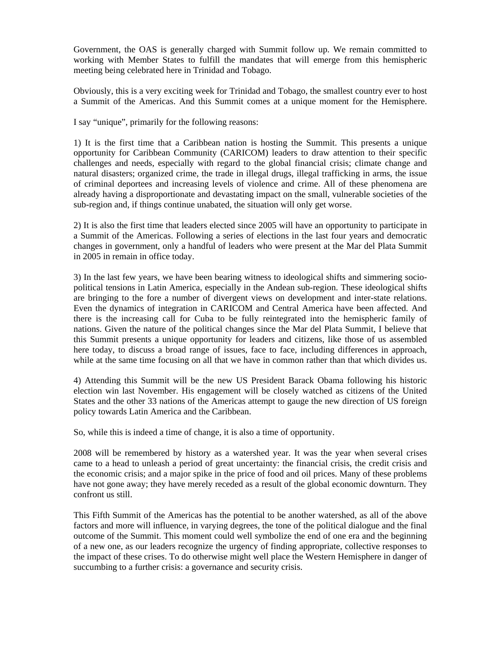Government, the OAS is generally charged with Summit follow up. We remain committed to working with Member States to fulfill the mandates that will emerge from this hemispheric meeting being celebrated here in Trinidad and Tobago.

Obviously, this is a very exciting week for Trinidad and Tobago, the smallest country ever to host a Summit of the Americas. And this Summit comes at a unique moment for the Hemisphere.

I say "unique", primarily for the following reasons:

1) It is the first time that a Caribbean nation is hosting the Summit. This presents a unique opportunity for Caribbean Community (CARICOM) leaders to draw attention to their specific challenges and needs, especially with regard to the global financial crisis; climate change and natural disasters; organized crime, the trade in illegal drugs, illegal trafficking in arms, the issue of criminal deportees and increasing levels of violence and crime. All of these phenomena are already having a disproportionate and devastating impact on the small, vulnerable societies of the sub-region and, if things continue unabated, the situation will only get worse.

2) It is also the first time that leaders elected since 2005 will have an opportunity to participate in a Summit of the Americas. Following a series of elections in the last four years and democratic changes in government, only a handful of leaders who were present at the Mar del Plata Summit in 2005 in remain in office today.

3) In the last few years, we have been bearing witness to ideological shifts and simmering sociopolitical tensions in Latin America, especially in the Andean sub-region. These ideological shifts are bringing to the fore a number of divergent views on development and inter-state relations. Even the dynamics of integration in CARICOM and Central America have been affected. And there is the increasing call for Cuba to be fully reintegrated into the hemispheric family of nations. Given the nature of the political changes since the Mar del Plata Summit, I believe that this Summit presents a unique opportunity for leaders and citizens, like those of us assembled here today, to discuss a broad range of issues, face to face, including differences in approach, while at the same time focusing on all that we have in common rather than that which divides us.

4) Attending this Summit will be the new US President Barack Obama following his historic election win last November. His engagement will be closely watched as citizens of the United States and the other 33 nations of the Americas attempt to gauge the new direction of US foreign policy towards Latin America and the Caribbean.

So, while this is indeed a time of change, it is also a time of opportunity.

2008 will be remembered by history as a watershed year. It was the year when several crises came to a head to unleash a period of great uncertainty: the financial crisis, the credit crisis and the economic crisis; and a major spike in the price of food and oil prices. Many of these problems have not gone away; they have merely receded as a result of the global economic downturn. They confront us still.

This Fifth Summit of the Americas has the potential to be another watershed, as all of the above factors and more will influence, in varying degrees, the tone of the political dialogue and the final outcome of the Summit. This moment could well symbolize the end of one era and the beginning of a new one, as our leaders recognize the urgency of finding appropriate, collective responses to the impact of these crises. To do otherwise might well place the Western Hemisphere in danger of succumbing to a further crisis: a governance and security crisis.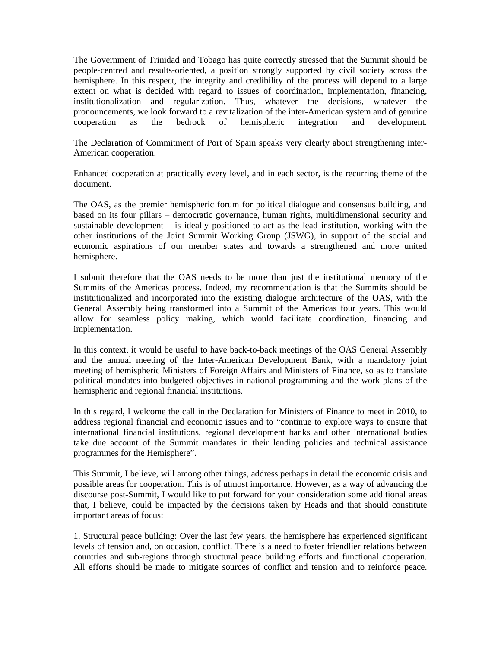The Government of Trinidad and Tobago has quite correctly stressed that the Summit should be people-centred and results-oriented, a position strongly supported by civil society across the hemisphere. In this respect, the integrity and credibility of the process will depend to a large extent on what is decided with regard to issues of coordination, implementation, financing, institutionalization and regularization. Thus, whatever the decisions, whatever the pronouncements, we look forward to a revitalization of the inter-American system and of genuine cooperation as the bedrock of hemispheric integration and development.

The Declaration of Commitment of Port of Spain speaks very clearly about strengthening inter-American cooperation.

Enhanced cooperation at practically every level, and in each sector, is the recurring theme of the document.

The OAS, as the premier hemispheric forum for political dialogue and consensus building, and based on its four pillars – democratic governance, human rights, multidimensional security and sustainable development – is ideally positioned to act as the lead institution, working with the other institutions of the Joint Summit Working Group (JSWG), in support of the social and economic aspirations of our member states and towards a strengthened and more united hemisphere.

I submit therefore that the OAS needs to be more than just the institutional memory of the Summits of the Americas process. Indeed, my recommendation is that the Summits should be institutionalized and incorporated into the existing dialogue architecture of the OAS, with the General Assembly being transformed into a Summit of the Americas four years. This would allow for seamless policy making, which would facilitate coordination, financing and implementation.

In this context, it would be useful to have back-to-back meetings of the OAS General Assembly and the annual meeting of the Inter-American Development Bank, with a mandatory joint meeting of hemispheric Ministers of Foreign Affairs and Ministers of Finance, so as to translate political mandates into budgeted objectives in national programming and the work plans of the hemispheric and regional financial institutions.

In this regard, I welcome the call in the Declaration for Ministers of Finance to meet in 2010, to address regional financial and economic issues and to "continue to explore ways to ensure that international financial institutions, regional development banks and other international bodies take due account of the Summit mandates in their lending policies and technical assistance programmes for the Hemisphere".

This Summit, I believe, will among other things, address perhaps in detail the economic crisis and possible areas for cooperation. This is of utmost importance. However, as a way of advancing the discourse post-Summit, I would like to put forward for your consideration some additional areas that, I believe, could be impacted by the decisions taken by Heads and that should constitute important areas of focus:

1. Structural peace building: Over the last few years, the hemisphere has experienced significant levels of tension and, on occasion, conflict. There is a need to foster friendlier relations between countries and sub-regions through structural peace building efforts and functional cooperation. All efforts should be made to mitigate sources of conflict and tension and to reinforce peace.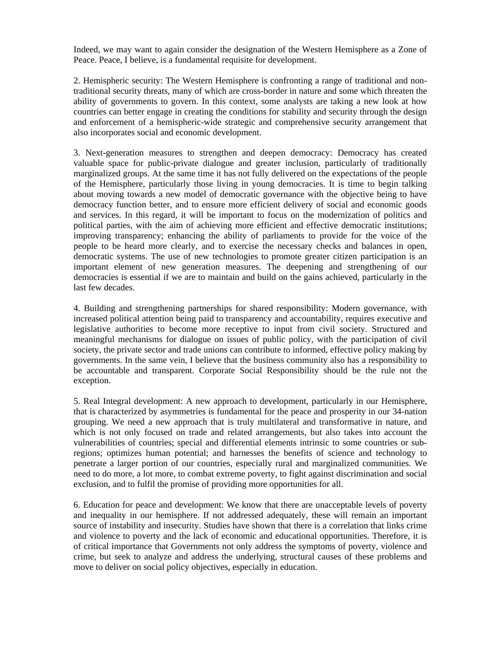Indeed, we may want to again consider the designation of the Western Hemisphere as a Zone of Peace. Peace, I believe, is a fundamental requisite for development.

2. Hemispheric security: The Western Hemisphere is confronting a range of traditional and nontraditional security threats, many of which are cross-border in nature and some which threaten the ability of governments to govern. In this context, some analysts are taking a new look at how countries can better engage in creating the conditions for stability and security through the design and enforcement of a hemispheric-wide strategic and comprehensive security arrangement that also incorporates social and economic development.

3. Next-generation measures to strengthen and deepen democracy: Democracy has created valuable space for public-private dialogue and greater inclusion, particularly of traditionally marginalized groups. At the same time it has not fully delivered on the expectations of the people of the Hemisphere, particularly those living in young democracies. It is time to begin talking about moving towards a new model of democratic governance with the objective being to have democracy function better, and to ensure more efficient delivery of social and economic goods and services. In this regard, it will be important to focus on the modernization of politics and political parties, with the aim of achieving more efficient and effective democratic institutions; improving transparency; enhancing the ability of parliaments to provide for the voice of the people to be heard more clearly, and to exercise the necessary checks and balances in open, democratic systems. The use of new technologies to promote greater citizen participation is an important element of new generation measures. The deepening and strengthening of our democracies is essential if we are to maintain and build on the gains achieved, particularly in the last few decades.

4. Building and strengthening partnerships for shared responsibility: Modern governance, with increased political attention being paid to transparency and accountability, requires executive and legislative authorities to become more receptive to input from civil society. Structured and meaningful mechanisms for dialogue on issues of public policy, with the participation of civil society, the private sector and trade unions can contribute to informed, effective policy making by governments. In the same vein, I believe that the business community also has a responsibility to be accountable and transparent. Corporate Social Responsibility should be the rule not the exception.

5. Real Integral development: A new approach to development, particularly in our Hemisphere, that is characterized by asymmetries is fundamental for the peace and prosperity in our 34-nation grouping. We need a new approach that is truly multilateral and transformative in nature, and which is not only focused on trade and related arrangements, but also takes into account the vulnerabilities of countries; special and differential elements intrinsic to some countries or subregions; optimizes human potential; and harnesses the benefits of science and technology to penetrate a larger portion of our countries, especially rural and marginalized communities. We need to do more, a lot more, to combat extreme poverty, to fight against discrimination and social exclusion, and to fulfil the promise of providing more opportunities for all.

6. Education for peace and development: We know that there are unacceptable levels of poverty and inequality in our hemisphere. If not addressed adequately, these will remain an important source of instability and insecurity. Studies have shown that there is a correlation that links crime and violence to poverty and the lack of economic and educational opportunities. Therefore, it is of critical importance that Governments not only address the symptoms of poverty, violence and crime, but seek to analyze and address the underlying, structural causes of these problems and move to deliver on social policy objectives, especially in education.